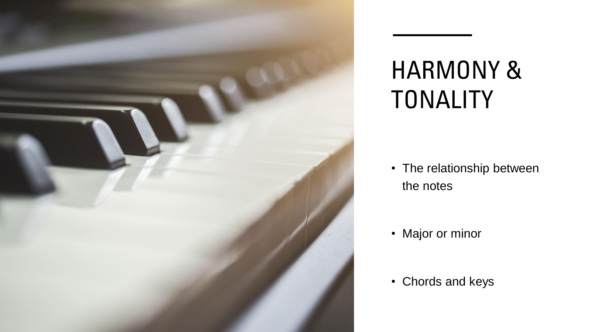

# HARMONY & TONALITY

• The relationship between the notes

• Major or minor

• Chords and keys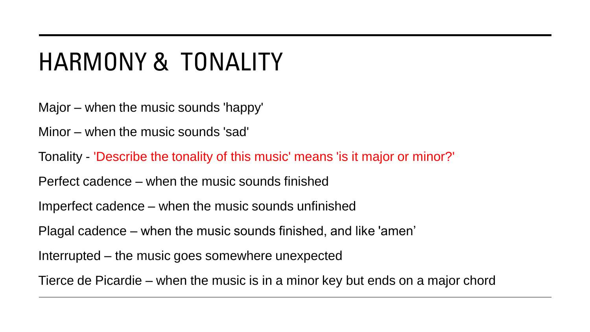# HARMONY & TONALITY

Major – when the music sounds 'happy'

Minor – when the music sounds 'sad'

Tonality - 'Describe the tonality of this music' means 'is it major or minor?'

Perfect cadence – when the music sounds finished

Imperfect cadence – when the music sounds unfinished

Plagal cadence – when the music sounds finished, and like 'amen'

Interrupted – the music goes somewhere unexpected

Tierce de Picardie – when the music is in a minor key but ends on a major chord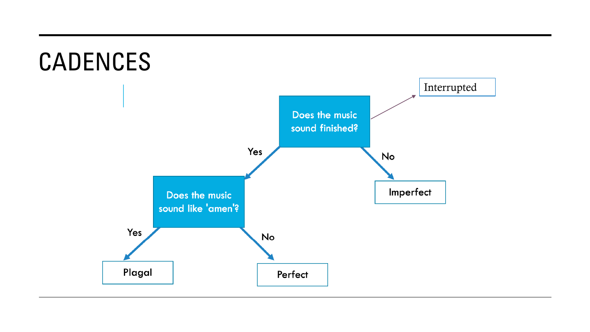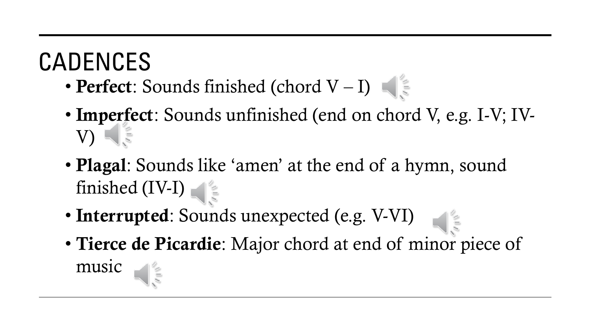# CADENCES

- Perfect: Sounds finished (chord  $V-I$ )
- Imperfect: Sounds unfinished (end on chord V, e.g. I-V; IV-V)
- **Plagal**: Sounds like 'amen' at the end of a hymn, sound finished (IV-I)
- Interrupted: Sounds unexpected (e.g. V-VI)
- Tierce de Picardie: Major chord at end of minor piece of music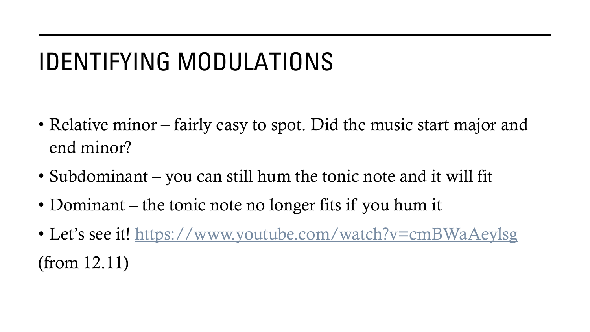# IDENTIFYING MODULATIONS

- Relative minor fairly easy to spot. Did the music start major and end minor?
- Subdominant you can still hum the tonic note and it will fit
- Dominant the tonic note no longer fits if you hum it
- Let's see it! <https://www.youtube.com/watch?v=cmBWaAeylsg> (from 12.11)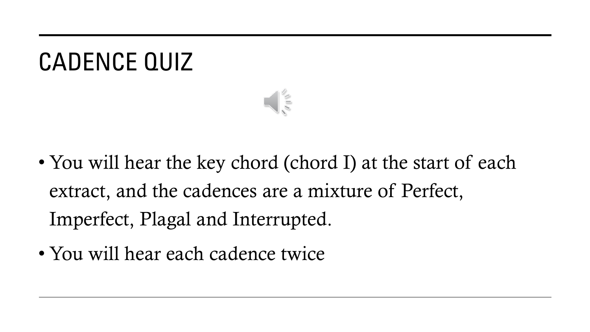## CADENCE QUIZ



- You will hear the key chord (chord I) at the start of each extract, and the cadences are a mixture of Perfect, Imperfect, Plagal and Interrupted.
- You will hear each cadence twice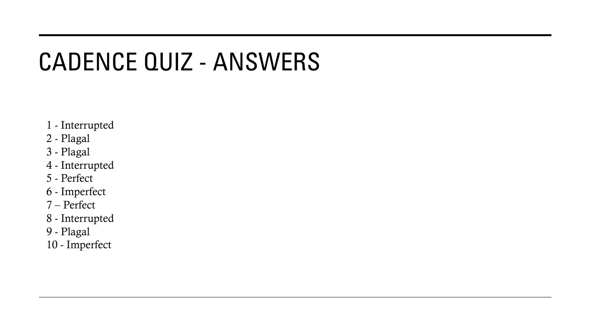#### CADENCE QUIZ - ANSWERS

- 1 Interrupted
- 2 Plagal
- 3 Plagal
- 4 Interrupted
- 5 Perfect
- 6 Imperfect
- 7 Perfect
- 8 Interrupted
- 9 Plagal
- 10 Imperfect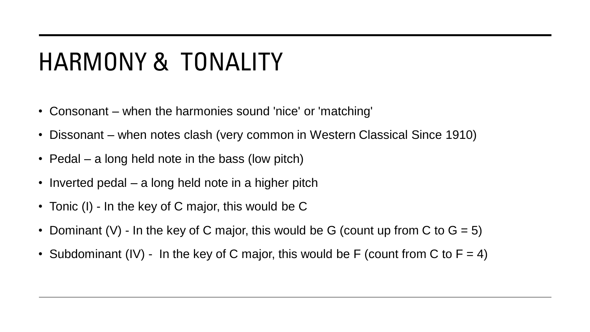# HARMONY & TONALITY

- Consonant when the harmonies sound 'nice' or 'matching'
- Dissonant when notes clash (very common in Western Classical Since 1910)
- Pedal a long held note in the bass (low pitch)
- Inverted pedal a long held note in a higher pitch
- Tonic (I) In the key of C major, this would be C
- Dominant (V) In the key of C major, this would be G (count up from C to  $G = 5$ )
- Subdominant (IV) In the key of C major, this would be F (count from C to  $F = 4$ )